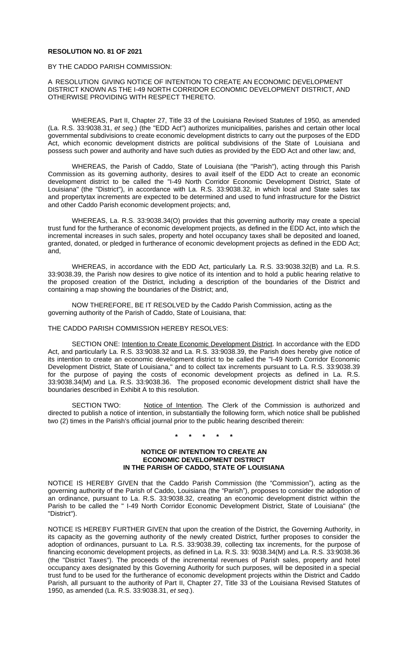# **RESOLUTION NO. 81 OF 2021**

#### BY THE CADDO PARISH COMMISSION:

# A RESOLUTION GIVING NOTICE OF INTENTION TO CREATE AN ECONOMIC DEVELOPMENT DISTRICT KNOWN AS THE I-49 NORTH CORRIDOR ECONOMIC DEVELOPMENT DISTRICT, AND OTHERWISE PROVIDING WITH RESPECT THERETO.

WHEREAS, Part II, Chapter 27, Title 33 of the Louisiana Revised Statutes of 1950, as amended (La. R.S. 33:9038.31, *et seq*.) (the "EDD Act") authorizes municipalities, parishes and certain other local governmental subdivisions to create economic development districts to carry out the purposes of the EDD Act, which economic development districts are political subdivisions of the State of Louisiana and possess such power and authority and have such duties as provided by the EDD Act and other law; and,

WHEREAS, the Parish of Caddo, State of Louisiana (the "Parish"), acting through this Parish Commission as its governing authority, desires to avail itself of the EDD Act to create an economic development district to be called the "I-49 North Corridor Economic Development District, State of Louisiana" (the "District"), in accordance with La. R.S. 33:9038.32, in which local and State sales tax and propertytax increments are expected to be determined and used to fund infrastructure for the District and other Caddo Parish economic development projects; and,

WHEREAS, La. R.S. 33:9038.34(O) provides that this governing authority may create a special trust fund for the furtherance of economic development projects, as defined in the EDD Act, into which the incremental increases in such sales, property and hotel occupancy taxes shall be deposited and loaned, granted, donated, or pledged in furtherance of economic development projects as defined in the EDD Act; and,

WHEREAS, in accordance with the EDD Act, particularly La. R.S. 33:9038.32(B) and La. R.S. 33:9038.39, the Parish now desires to give notice of its intention and to hold a public hearing relative to the proposed creation of the District, including a description of the boundaries of the District and containing a map showing the boundaries of the District; and,

NOW THEREFORE, BE IT RESOLVED by the Caddo Parish Commission, acting as the governing authority of the Parish of Caddo, State of Louisiana, that:

#### THE CADDO PARISH COMMISSION HEREBY RESOLVES:

SECTION ONE: Intention to Create Economic Development District. In accordance with the EDD Act, and particularly La. R.S. 33:9038.32 and La. R.S. 33:9038.39, the Parish does hereby give notice of its intention to create an economic development district to be called the "I-49 North Corridor Economic Development District, State of Louisiana," and to collect tax increments pursuant to La. R.S. 33:9038.39 for the purpose of paying the costs of economic development projects as defined in La. R.S. 33:9038.34(M) and La. R.S. 33:9038.36. The proposed economic development district shall have the boundaries described in Exhibit A to this resolution.

SECTION TWO: Notice of Intention. The Clerk of the Commission is authorized and directed to publish a notice of intention, in substantially the following form, which notice shall be published two (2) times in the Parish's official journal prior to the public hearing described therein:

**\* \* \* \* \***

### **NOTICE OF INTENTION TO CREATE AN ECONOMIC DEVELOPMENT DISTRICT IN THE PARISH OF CADDO, STATE OF LOUISIANA**

NOTICE IS HEREBY GIVEN that the Caddo Parish Commission (the "Commission"), acting as the governing authority of the Parish of Caddo, Louisiana (the "Parish"), proposes to consider the adoption of an ordinance, pursuant to La. R.S. 33:9038.32, creating an economic development district within the Parish to be called the " I-49 North Corridor Economic Development District, State of Louisiana" (the "District").

NOTICE IS HEREBY FURTHER GIVEN that upon the creation of the District, the Governing Authority, in its capacity as the governing authority of the newly created District, further proposes to consider the adoption of ordinances, pursuant to La. R.S. 33:9038.39, collecting tax increments, for the purpose of financing economic development projects, as defined in La. R.S. 33: 9038.34(M) and La. R.S. 33:9038.36 (the "District Taxes"). The proceeds of the incremental revenues of Parish sales, property and hotel occupancy axes designated by this Governing Authority for such purposes, will be deposited in a special trust fund to be used for the furtherance of economic development projects within the District and Caddo Parish, all pursuant to the authority of Part II, Chapter 27, Title 33 of the Louisiana Revised Statutes of 1950, as amended (La. R.S. 33:9038.31, *et seq*.).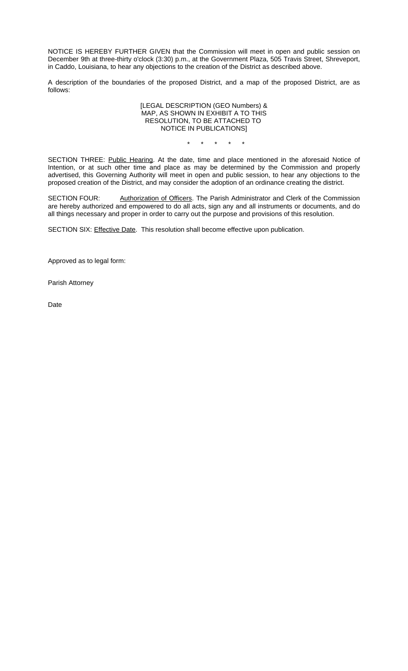NOTICE IS HEREBY FURTHER GIVEN that the Commission will meet in open and public session on December 9th at three-thirty o'clock (3:30) p.m., at the Government Plaza, 505 Travis Street, Shreveport, in Caddo, Louisiana, to hear any objections to the creation of the District as described above.

A description of the boundaries of the proposed District, and a map of the proposed District, are as follows:

### [LEGAL DESCRIPTION (GEO Numbers) & MAP, AS SHOWN IN EXHIBIT A TO THIS RESOLUTION, TO BE ATTACHED TO NOTICE IN PUBLICATIONS]

\* \* \* \* \*

SECTION THREE: Public Hearing. At the date, time and place mentioned in the aforesaid Notice of Intention, or at such other time and place as may be determined by the Commission and properly advertised, this Governing Authority will meet in open and public session, to hear any objections to the proposed creation of the District, and may consider the adoption of an ordinance creating the district.

SECTION FOUR: Authorization of Officers. The Parish Administrator and Clerk of the Commission are hereby authorized and empowered to do all acts, sign any and all instruments or documents, and do all things necessary and proper in order to carry out the purpose and provisions of this resolution.

SECTION SIX: Effective Date. This resolution shall become effective upon publication.

Approved as to legal form:

Parish Attorney

Date